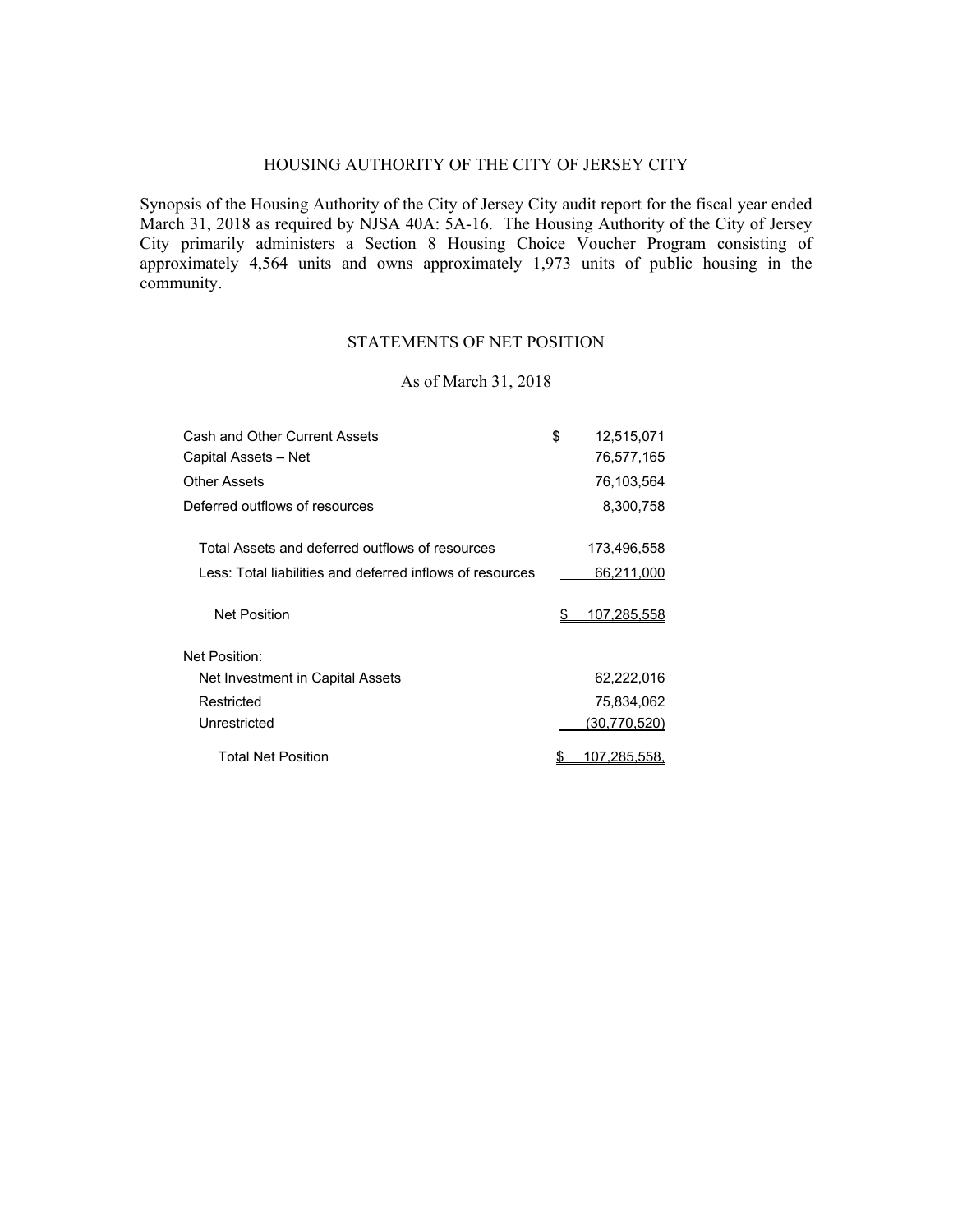# HOUSING AUTHORITY OF THE CITY OF JERSEY CITY

Synopsis of the Housing Authority of the City of Jersey City audit report for the fiscal year ended March 31, 2018 as required by NJSA 40A: 5A-16. The Housing Authority of the City of Jersey City primarily administers a Section 8 Housing Choice Voucher Program consisting of approximately 4,564 units and owns approximately 1,973 units of public housing in the community.

# STATEMENTS OF NET POSITION

### As of March 31, 2018

| Cash and Other Current Assets                             | \$ | 12,515,071         |
|-----------------------------------------------------------|----|--------------------|
| Capital Assets - Net                                      |    | 76,577,165         |
| Other Assets                                              |    | 76,103,564         |
| Deferred outflows of resources                            |    | 8,300,758          |
| Total Assets and deferred outflows of resources           |    | 173,496,558        |
| Less: Total liabilities and deferred inflows of resources |    | 66,211,000         |
| <b>Net Position</b>                                       | S  | <u>107,285,558</u> |
| Net Position:                                             |    |                    |
| Net Investment in Capital Assets                          |    | 62,222,016         |
| Restricted                                                |    | 75,834,062         |
| Unrestricted                                              |    | (30,770,520)       |
| Total Net Position                                        | \$ | 107,285,558,       |